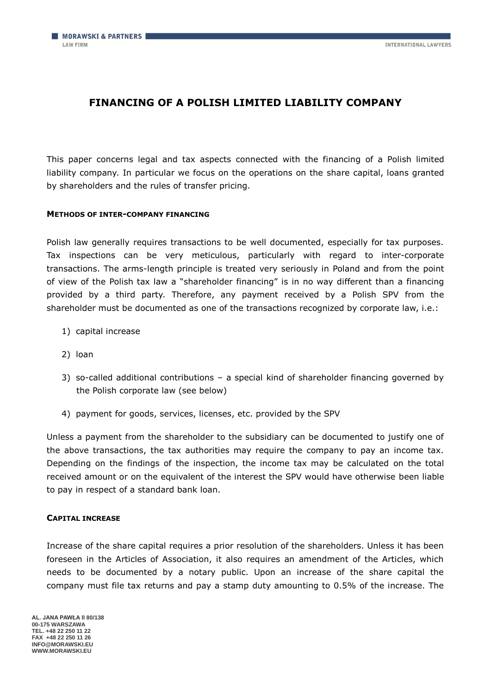# **FINANCING OF A POLISH LIMITED LIABILITY COMPANY**

This paper concerns legal and tax aspects connected with the financing of a Polish limited liability company. In particular we focus on the operations on the share capital, loans granted by shareholders and the rules of transfer pricing.

## **METHODS OF INTER-COMPANY FINANCING**

Polish law generally requires transactions to be well documented, especially for tax purposes. Tax inspections can be very meticulous, particularly with regard to inter-corporate transactions. The arms-length principle is treated very seriously in Poland and from the point of view of the Polish tax law a "shareholder financing" is in no way different than a financing provided by a third party. Therefore, any payment received by a Polish SPV from the shareholder must be documented as one of the transactions recognized by corporate law, i.e.:

- 1) capital increase
- 2) loan
- 3) so-called additional contributions a special kind of shareholder financing governed by the Polish corporate law (see below)
- 4) payment for goods, services, licenses, etc. provided by the SPV

Unless a payment from the shareholder to the subsidiary can be documented to justify one of the above transactions, the tax authorities may require the company to pay an income tax. Depending on the findings of the inspection, the income tax may be calculated on the total received amount or on the equivalent of the interest the SPV would have otherwise been liable to pay in respect of a standard bank loan.

### **CAPITAL INCREASE**

Increase of the share capital requires a prior resolution of the shareholders. Unless it has been foreseen in the Articles of Association, it also requires an amendment of the Articles, which needs to be documented by a notary public. Upon an increase of the share capital the company must file tax returns and pay a stamp duty amounting to 0.5% of the increase. The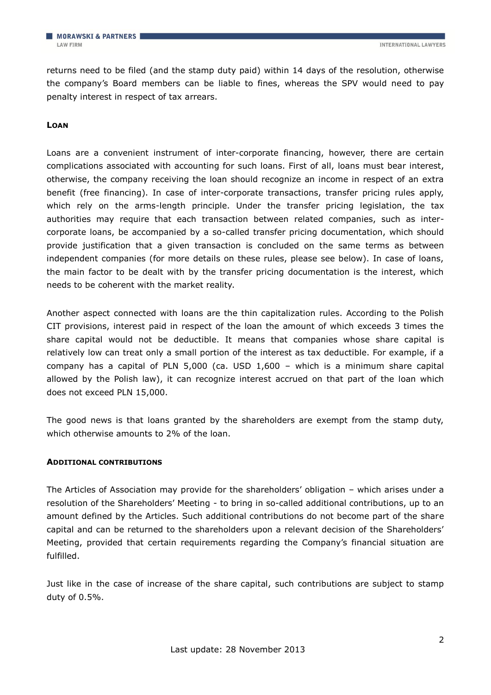returns need to be filed (and the stamp duty paid) within 14 days of the resolution, otherwise the company's Board members can be liable to fines, whereas the SPV would need to pay penalty interest in respect of tax arrears.

### **LOAN**

Loans are a convenient instrument of inter-corporate financing, however, there are certain complications associated with accounting for such loans. First of all, loans must bear interest, otherwise, the company receiving the loan should recognize an income in respect of an extra benefit (free financing). In case of inter-corporate transactions, transfer pricing rules apply, which rely on the arms-length principle. Under the transfer pricing legislation, the tax authorities may require that each transaction between related companies, such as intercorporate loans, be accompanied by a so-called transfer pricing documentation, which should provide justification that a given transaction is concluded on the same terms as between independent companies (for more details on these rules, please see below). In case of loans, the main factor to be dealt with by the transfer pricing documentation is the interest, which needs to be coherent with the market reality.

Another aspect connected with loans are the thin capitalization rules. According to the Polish CIT provisions, interest paid in respect of the loan the amount of which exceeds 3 times the share capital would not be deductible. It means that companies whose share capital is relatively low can treat only a small portion of the interest as tax deductible. For example, if a company has a capital of PLN 5,000 (ca. USD 1,600 – which is a minimum share capital allowed by the Polish law), it can recognize interest accrued on that part of the loan which does not exceed PLN 15,000.

The good news is that loans granted by the shareholders are exempt from the stamp duty, which otherwise amounts to 2% of the loan.

### **ADDITIONAL CONTRIBUTIONS**

The Articles of Association may provide for the shareholders' obligation – which arises under a resolution of the Shareholders' Meeting - to bring in so-called additional contributions, up to an amount defined by the Articles. Such additional contributions do not become part of the share capital and can be returned to the shareholders upon a relevant decision of the Shareholders' Meeting, provided that certain requirements regarding the Company's financial situation are fulfilled.

Just like in the case of increase of the share capital, such contributions are subject to stamp duty of 0.5%.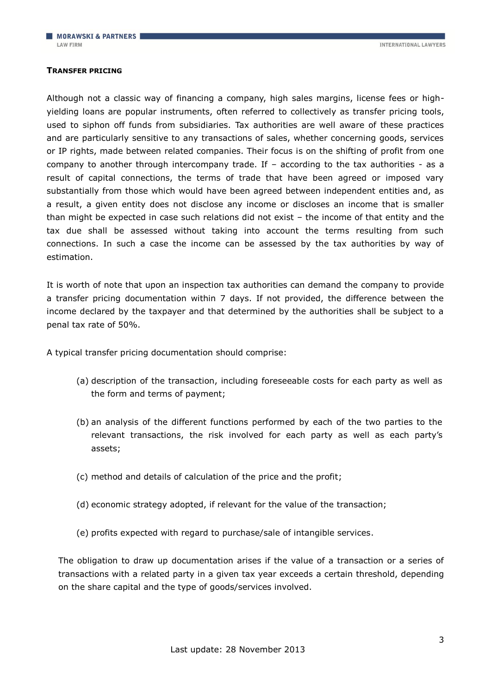#### **TRANSFER PRICING**

Although not a classic way of financing a company, high sales margins, license fees or highyielding loans are popular instruments, often referred to collectively as transfer pricing tools, used to siphon off funds from subsidiaries. Tax authorities are well aware of these practices and are particularly sensitive to any transactions of sales, whether concerning goods, services or IP rights, made between related companies. Their focus is on the shifting of profit from one company to another through intercompany trade. If – according to the tax authorities - as a result of capital connections, the terms of trade that have been agreed or imposed vary substantially from those which would have been agreed between independent entities and, as a result, a given entity does not disclose any income or discloses an income that is smaller than might be expected in case such relations did not exist – the income of that entity and the tax due shall be assessed without taking into account the terms resulting from such connections. In such a case the income can be assessed by the tax authorities by way of estimation.

It is worth of note that upon an inspection tax authorities can demand the company to provide a transfer pricing documentation within 7 days. If not provided, the difference between the income declared by the taxpayer and that determined by the authorities shall be subject to a penal tax rate of 50%.

A typical transfer pricing documentation should comprise:

- (a) description of the transaction, including foreseeable costs for each party as well as the form and terms of payment;
- (b) an analysis of the different functions performed by each of the two parties to the relevant transactions, the risk involved for each party as well as each party's assets;
- (c) method and details of calculation of the price and the profit;
- (d) economic strategy adopted, if relevant for the value of the transaction;
- (e) profits expected with regard to purchase/sale of intangible services.

The obligation to draw up documentation arises if the value of a transaction or a series of transactions with a related party in a given tax year exceeds a certain threshold, depending on the share capital and the type of goods/services involved.